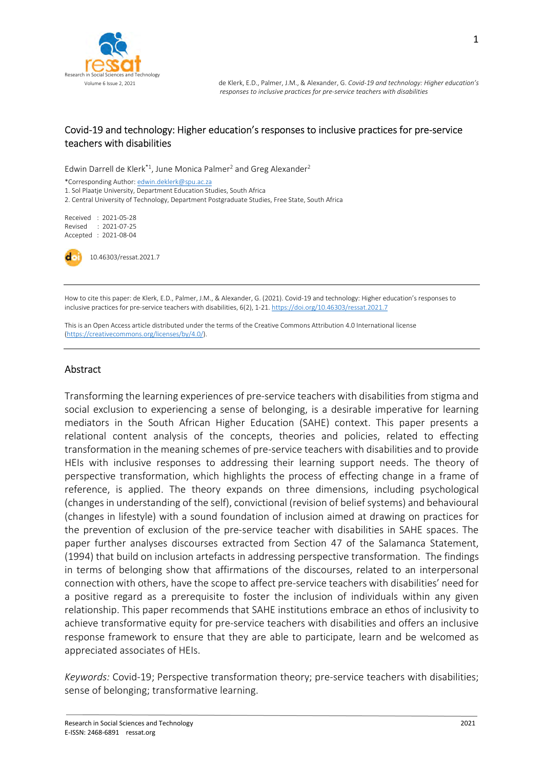

## Covid-19 and technology: Higher education's responses to inclusive practices for pre-service teachers with disabilities

Edwin Darrell de Klerk<sup>\*1</sup>, June Monica Palmer<sup>2</sup> and Greg Alexander<sup>2</sup>

\*Corresponding Author: edwin.deklerk@spu.ac.za 1. Sol Plaatje University, Department Education Studies, South Africa 2. Central University of Technology, Department Postgraduate Studies, Free State, South Africa

Received : 2021-05-28 Revised : 2021-07-25 Accepted : 2021-08-04

10.46303/ressat.2021.7

How to cite this paper: de Klerk, E.D., Palmer, J.M., & Alexander, G. (2021). Covid-19 and technology: Higher education's responses to inclusive practices for pre-service teachers with disabilities, 6(2), 1-21. https://doi.org/10.46303/ressat.2021.7

This is an Open Access article distributed under the terms of the Creative Commons Attribution 4.0 International license (https://creativecommons.org/licenses/by/4.0/).

#### Abstract

Transforming the learning experiences of pre-service teachers with disabilities from stigma and social exclusion to experiencing a sense of belonging, is a desirable imperative for learning mediators in the South African Higher Education (SAHE) context. This paper presents a relational content analysis of the concepts, theories and policies, related to effecting transformation in the meaning schemes of pre-service teachers with disabilities and to provide HEIs with inclusive responses to addressing their learning support needs. The theory of perspective transformation, which highlights the process of effecting change in a frame of reference, is applied. The theory expands on three dimensions, including psychological (changes in understanding of the self), convictional (revision of belief systems) and behavioural (changes in lifestyle) with a sound foundation of inclusion aimed at drawing on practices for the prevention of exclusion of the pre-service teacher with disabilities in SAHE spaces. The paper further analyses discourses extracted from Section 47 of the Salamanca Statement, (1994) that build on inclusion artefacts in addressing perspective transformation. The findings in terms of belonging show that affirmations of the discourses, related to an interpersonal connection with others, have the scope to affect pre-service teachers with disabilities' need for a positive regard as a prerequisite to foster the inclusion of individuals within any given relationship. This paper recommends that SAHE institutions embrace an ethos of inclusivity to achieve transformative equity for pre-service teachers with disabilities and offers an inclusive response framework to ensure that they are able to participate, learn and be welcomed as appreciated associates of HEIs.

Keywords: Covid-19; Perspective transformation theory; pre-service teachers with disabilities; sense of belonging; transformative learning.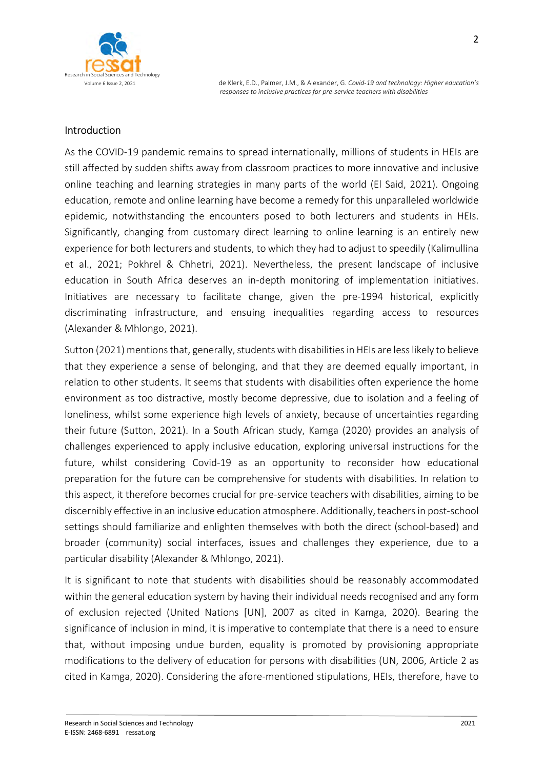

# Introduction

As the COVID-19 pandemic remains to spread internationally, millions of students in HEIs are still affected by sudden shifts away from classroom practices to more innovative and inclusive online teaching and learning strategies in many parts of the world (El Said, 2021). Ongoing education, remote and online learning have become a remedy for this unparalleled worldwide epidemic, notwithstanding the encounters posed to both lecturers and students in HEIs. Significantly, changing from customary direct learning to online learning is an entirely new experience for both lecturers and students, to which they had to adjust to speedily (Kalimullina et al., 2021; Pokhrel & Chhetri, 2021). Nevertheless, the present landscape of inclusive education in South Africa deserves an in-depth monitoring of implementation initiatives. Initiatives are necessary to facilitate change, given the pre-1994 historical, explicitly discriminating infrastructure, and ensuing inequalities regarding access to resources (Alexander & Mhlongo, 2021).

Sutton (2021) mentions that, generally, students with disabilities in HEIs are less likely to believe that they experience a sense of belonging, and that they are deemed equally important, in relation to other students. It seems that students with disabilities often experience the home environment as too distractive, mostly become depressive, due to isolation and a feeling of loneliness, whilst some experience high levels of anxiety, because of uncertainties regarding their future (Sutton, 2021). In a South African study, Kamga (2020) provides an analysis of challenges experienced to apply inclusive education, exploring universal instructions for the future, whilst considering Covid-19 as an opportunity to reconsider how educational preparation for the future can be comprehensive for students with disabilities. In relation to this aspect, it therefore becomes crucial for pre-service teachers with disabilities, aiming to be discernibly effective in an inclusive education atmosphere. Additionally, teachers in post-school settings should familiarize and enlighten themselves with both the direct (school-based) and broader (community) social interfaces, issues and challenges they experience, due to a particular disability (Alexander & Mhlongo, 2021).

It is significant to note that students with disabilities should be reasonably accommodated within the general education system by having their individual needs recognised and any form of exclusion rejected (United Nations [UN], 2007 as cited in Kamga, 2020). Bearing the significance of inclusion in mind, it is imperative to contemplate that there is a need to ensure that, without imposing undue burden, equality is promoted by provisioning appropriate modifications to the delivery of education for persons with disabilities (UN, 2006, Article 2 as cited in Kamga, 2020). Considering the afore-mentioned stipulations, HEIs, therefore, have to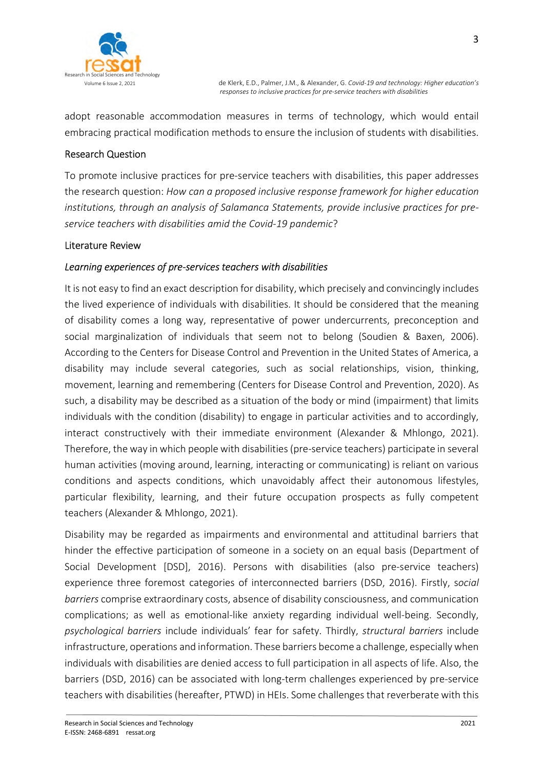

adopt reasonable accommodation measures in terms of technology, which would entail embracing practical modification methods to ensure the inclusion of students with disabilities.

## Research Question

To promote inclusive practices for pre-service teachers with disabilities, this paper addresses the research question: How can a proposed inclusive response framework for higher education institutions, through an analysis of Salamanca Statements, provide inclusive practices for preservice teachers with disabilities amid the Covid-19 pandemic?

#### Literature Review

#### Learning experiences of pre-services teachers with disabilities

It is not easy to find an exact description for disability, which precisely and convincingly includes the lived experience of individuals with disabilities. It should be considered that the meaning of disability comes a long way, representative of power undercurrents, preconception and social marginalization of individuals that seem not to belong (Soudien & Baxen, 2006). According to the Centers for Disease Control and Prevention in the United States of America, a disability may include several categories, such as social relationships, vision, thinking, movement, learning and remembering (Centers for Disease Control and Prevention, 2020). As such, a disability may be described as a situation of the body or mind (impairment) that limits individuals with the condition (disability) to engage in particular activities and to accordingly, interact constructively with their immediate environment (Alexander & Mhlongo, 2021). Therefore, the way in which people with disabilities (pre-service teachers) participate in several human activities (moving around, learning, interacting or communicating) is reliant on various conditions and aspects conditions, which unavoidably affect their autonomous lifestyles, particular flexibility, learning, and their future occupation prospects as fully competent teachers (Alexander & Mhlongo, 2021).

Disability may be regarded as impairments and environmental and attitudinal barriers that hinder the effective participation of someone in a society on an equal basis (Department of Social Development [DSD], 2016). Persons with disabilities (also pre-service teachers) experience three foremost categories of interconnected barriers (DSD, 2016). Firstly, social barriers comprise extraordinary costs, absence of disability consciousness, and communication complications; as well as emotional-like anxiety regarding individual well-being. Secondly, psychological barriers include individuals' fear for safety. Thirdly, structural barriers include infrastructure, operations and information. These barriers become a challenge, especially when individuals with disabilities are denied access to full participation in all aspects of life. Also, the barriers (DSD, 2016) can be associated with long-term challenges experienced by pre-service teachers with disabilities (hereafter, PTWD) in HEIs. Some challenges that reverberate with this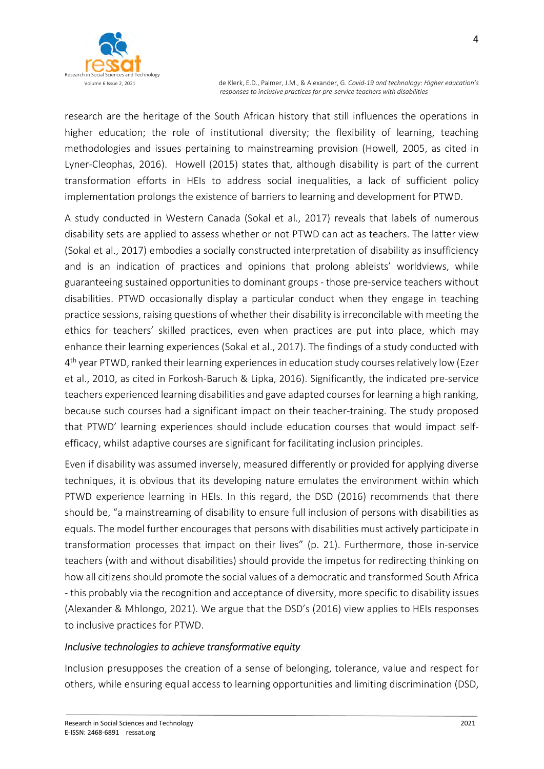

research are the heritage of the South African history that still influences the operations in higher education; the role of institutional diversity; the flexibility of learning, teaching methodologies and issues pertaining to mainstreaming provision (Howell, 2005, as cited in Lyner-Cleophas, 2016). Howell (2015) states that, although disability is part of the current transformation efforts in HEIs to address social inequalities, a lack of sufficient policy implementation prolongs the existence of barriers to learning and development for PTWD.

A study conducted in Western Canada (Sokal et al., 2017) reveals that labels of numerous disability sets are applied to assess whether or not PTWD can act as teachers. The latter view (Sokal et al., 2017) embodies a socially constructed interpretation of disability as insufficiency and is an indication of practices and opinions that prolong ableists' worldviews, while guaranteeing sustained opportunities to dominant groups - those pre-service teachers without disabilities. PTWD occasionally display a particular conduct when they engage in teaching practice sessions, raising questions of whether their disability is irreconcilable with meeting the ethics for teachers' skilled practices, even when practices are put into place, which may enhance their learning experiences (Sokal et al., 2017). The findings of a study conducted with 4<sup>th</sup> year PTWD, ranked their learning experiences in education study courses relatively low (Ezer et al., 2010, as cited in Forkosh-Baruch & Lipka, 2016). Significantly, the indicated pre-service teachers experienced learning disabilities and gave adapted courses for learning a high ranking, because such courses had a significant impact on their teacher-training. The study proposed that PTWD' learning experiences should include education courses that would impact selfefficacy, whilst adaptive courses are significant for facilitating inclusion principles.

Even if disability was assumed inversely, measured differently or provided for applying diverse techniques, it is obvious that its developing nature emulates the environment within which PTWD experience learning in HEIs. In this regard, the DSD (2016) recommends that there should be, "a mainstreaming of disability to ensure full inclusion of persons with disabilities as equals. The model further encourages that persons with disabilities must actively participate in transformation processes that impact on their lives" (p. 21). Furthermore, those in-service teachers (with and without disabilities) should provide the impetus for redirecting thinking on how all citizens should promote the social values of a democratic and transformed South Africa - this probably via the recognition and acceptance of diversity, more specific to disability issues (Alexander & Mhlongo, 2021). We argue that the DSD's (2016) view applies to HEIs responses to inclusive practices for PTWD.

## Inclusive technologies to achieve transformative equity

Inclusion presupposes the creation of a sense of belonging, tolerance, value and respect for others, while ensuring equal access to learning opportunities and limiting discrimination (DSD,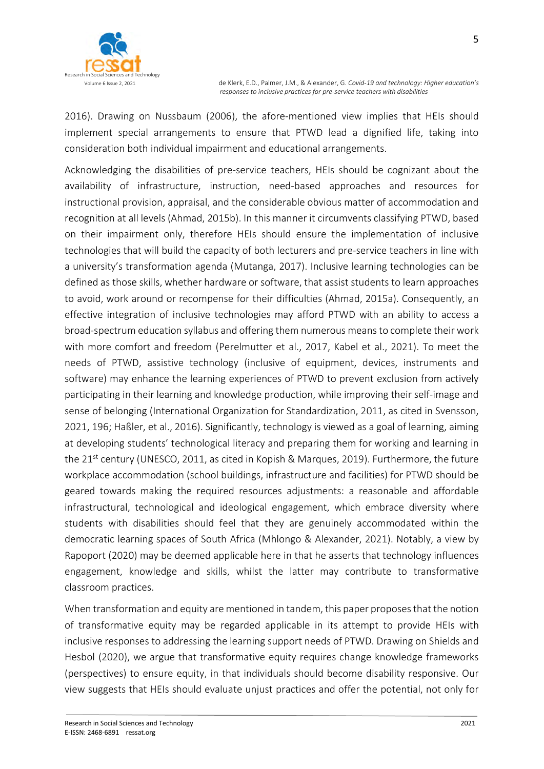5

2016). Drawing on Nussbaum (2006), the afore-mentioned view implies that HEIs should implement special arrangements to ensure that PTWD lead a dignified life, taking into consideration both individual impairment and educational arrangements.

Acknowledging the disabilities of pre-service teachers, HEIs should be cognizant about the availability of infrastructure, instruction, need-based approaches and resources for instructional provision, appraisal, and the considerable obvious matter of accommodation and recognition at all levels (Ahmad, 2015b). In this manner it circumvents classifying PTWD, based on their impairment only, therefore HEIs should ensure the implementation of inclusive technologies that will build the capacity of both lecturers and pre-service teachers in line with a university's transformation agenda (Mutanga, 2017). Inclusive learning technologies can be defined as those skills, whether hardware or software, that assist students to learn approaches to avoid, work around or recompense for their difficulties (Ahmad, 2015a). Consequently, an effective integration of inclusive technologies may afford PTWD with an ability to access a broad-spectrum education syllabus and offering them numerous means to complete their work with more comfort and freedom (Perelmutter et al., 2017, Kabel et al., 2021). To meet the needs of PTWD, assistive technology (inclusive of equipment, devices, instruments and software) may enhance the learning experiences of PTWD to prevent exclusion from actively participating in their learning and knowledge production, while improving their self-image and sense of belonging (International Organization for Standardization, 2011, as cited in Svensson, 2021, 196; Haßler, et al., 2016). Significantly, technology is viewed as a goal of learning, aiming at developing students' technological literacy and preparing them for working and learning in the 21<sup>st</sup> century (UNESCO, 2011, as cited in Kopish & Marques, 2019). Furthermore, the future workplace accommodation (school buildings, infrastructure and facilities) for PTWD should be geared towards making the required resources adjustments: a reasonable and affordable infrastructural, technological and ideological engagement, which embrace diversity where students with disabilities should feel that they are genuinely accommodated within the democratic learning spaces of South Africa (Mhlongo & Alexander, 2021). Notably, a view by Rapoport (2020) may be deemed applicable here in that he asserts that technology influences engagement, knowledge and skills, whilst the latter may contribute to transformative classroom practices.

When transformation and equity are mentioned in tandem, this paper proposes that the notion of transformative equity may be regarded applicable in its attempt to provide HEIs with inclusive responses to addressing the learning support needs of PTWD. Drawing on Shields and Hesbol (2020), we argue that transformative equity requires change knowledge frameworks (perspectives) to ensure equity, in that individuals should become disability responsive. Our view suggests that HEIs should evaluate unjust practices and offer the potential, not only for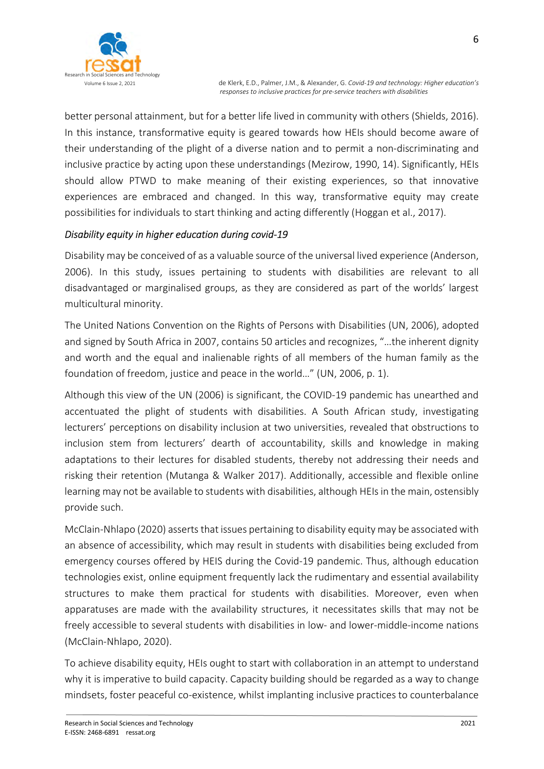

better personal attainment, but for a better life lived in community with others (Shields, 2016). In this instance, transformative equity is geared towards how HEIs should become aware of their understanding of the plight of a diverse nation and to permit a non-discriminating and inclusive practice by acting upon these understandings (Mezirow, 1990, 14). Significantly, HEIs should allow PTWD to make meaning of their existing experiences, so that innovative experiences are embraced and changed. In this way, transformative equity may create possibilities for individuals to start thinking and acting differently (Hoggan et al., 2017).

## Disability equity in higher education during covid-19

Disability may be conceived of as a valuable source of the universal lived experience (Anderson, 2006). In this study, issues pertaining to students with disabilities are relevant to all disadvantaged or marginalised groups, as they are considered as part of the worlds' largest multicultural minority.

The United Nations Convention on the Rights of Persons with Disabilities (UN, 2006), adopted and signed by South Africa in 2007, contains 50 articles and recognizes, "…the inherent dignity and worth and the equal and inalienable rights of all members of the human family as the foundation of freedom, justice and peace in the world…" (UN, 2006, p. 1).

Although this view of the UN (2006) is significant, the COVID-19 pandemic has unearthed and accentuated the plight of students with disabilities. A South African study, investigating lecturers' perceptions on disability inclusion at two universities, revealed that obstructions to inclusion stem from lecturers' dearth of accountability, skills and knowledge in making adaptations to their lectures for disabled students, thereby not addressing their needs and risking their retention (Mutanga & Walker 2017). Additionally, accessible and flexible online learning may not be available to students with disabilities, although HEIs in the main, ostensibly provide such.

McClain-Nhlapo (2020) asserts that issues pertaining to disability equity may be associated with an absence of accessibility, which may result in students with disabilities being excluded from emergency courses offered by HEIS during the Covid-19 pandemic. Thus, although education technologies exist, online equipment frequently lack the rudimentary and essential availability structures to make them practical for students with disabilities. Moreover, even when apparatuses are made with the availability structures, it necessitates skills that may not be freely accessible to several students with disabilities in low- and lower-middle-income nations (McClain-Nhlapo, 2020).

To achieve disability equity, HEIs ought to start with collaboration in an attempt to understand why it is imperative to build capacity. Capacity building should be regarded as a way to change mindsets, foster peaceful co-existence, whilst implanting inclusive practices to counterbalance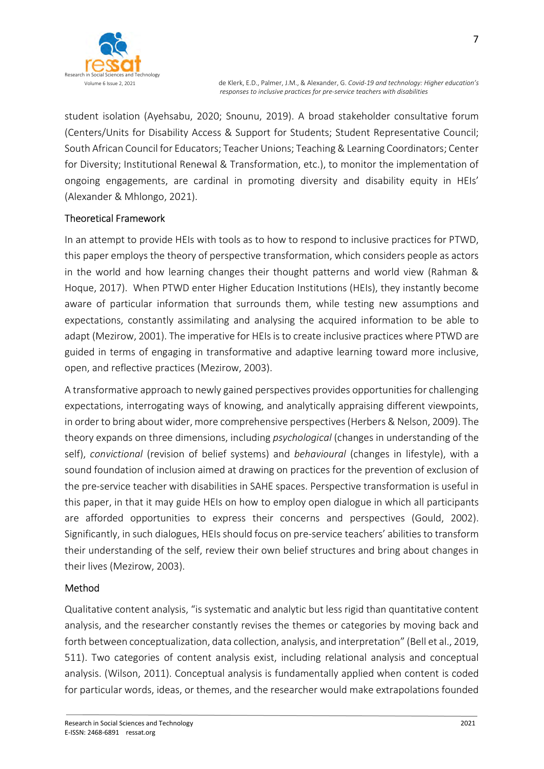

7

student isolation (Ayehsabu, 2020; Snounu, 2019). A broad stakeholder consultative forum (Centers/Units for Disability Access & Support for Students; Student Representative Council; South African Council for Educators; Teacher Unions; Teaching & Learning Coordinators; Center for Diversity; Institutional Renewal & Transformation, etc.), to monitor the implementation of ongoing engagements, are cardinal in promoting diversity and disability equity in HEIs' (Alexander & Mhlongo, 2021).

# Theoretical Framework

In an attempt to provide HEIs with tools as to how to respond to inclusive practices for PTWD, this paper employs the theory of perspective transformation, which considers people as actors in the world and how learning changes their thought patterns and world view (Rahman & Hoque, 2017). When PTWD enter Higher Education Institutions (HEIs), they instantly become aware of particular information that surrounds them, while testing new assumptions and expectations, constantly assimilating and analysing the acquired information to be able to adapt (Mezirow, 2001). The imperative for HEIs is to create inclusive practices where PTWD are guided in terms of engaging in transformative and adaptive learning toward more inclusive, open, and reflective practices (Mezirow, 2003).

A transformative approach to newly gained perspectives provides opportunities for challenging expectations, interrogating ways of knowing, and analytically appraising different viewpoints, in order to bring about wider, more comprehensive perspectives (Herbers & Nelson, 2009). The theory expands on three dimensions, including psychological (changes in understanding of the self), convictional (revision of belief systems) and behavioural (changes in lifestyle), with a sound foundation of inclusion aimed at drawing on practices for the prevention of exclusion of the pre-service teacher with disabilities in SAHE spaces. Perspective transformation is useful in this paper, in that it may guide HEIs on how to employ open dialogue in which all participants are afforded opportunities to express their concerns and perspectives (Gould, 2002). Significantly, in such dialogues, HEIs should focus on pre-service teachers' abilities to transform their understanding of the self, review their own belief structures and bring about changes in their lives (Mezirow, 2003).

## Method

Qualitative content analysis, "is systematic and analytic but less rigid than quantitative content analysis, and the researcher constantly revises the themes or categories by moving back and forth between conceptualization, data collection, analysis, and interpretation" (Bell et al., 2019, 511). Two categories of content analysis exist, including relational analysis and conceptual analysis. (Wilson, 2011). Conceptual analysis is fundamentally applied when content is coded for particular words, ideas, or themes, and the researcher would make extrapolations founded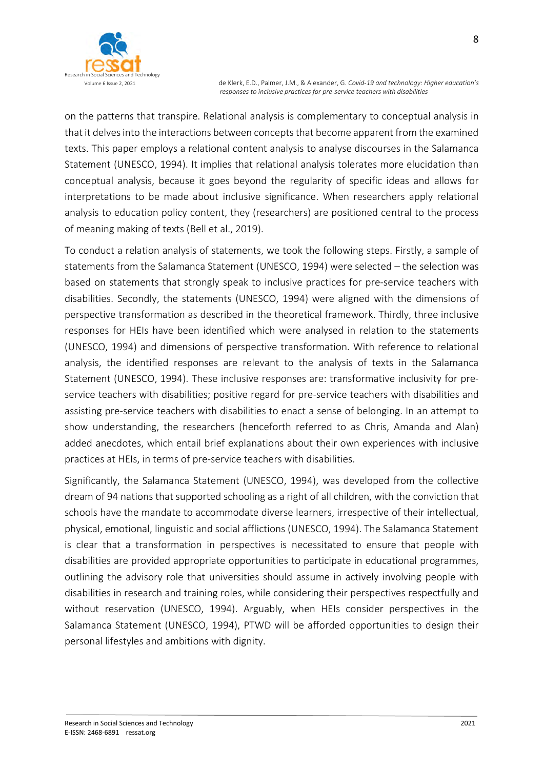

on the patterns that transpire. Relational analysis is complementary to conceptual analysis in that it delves into the interactions between concepts that become apparent from the examined texts. This paper employs a relational content analysis to analyse discourses in the Salamanca Statement (UNESCO, 1994). It implies that relational analysis tolerates more elucidation than conceptual analysis, because it goes beyond the regularity of specific ideas and allows for interpretations to be made about inclusive significance. When researchers apply relational analysis to education policy content, they (researchers) are positioned central to the process of meaning making of texts (Bell et al., 2019).

To conduct a relation analysis of statements, we took the following steps. Firstly, a sample of statements from the Salamanca Statement (UNESCO, 1994) were selected – the selection was based on statements that strongly speak to inclusive practices for pre-service teachers with disabilities. Secondly, the statements (UNESCO, 1994) were aligned with the dimensions of perspective transformation as described in the theoretical framework. Thirdly, three inclusive responses for HEIs have been identified which were analysed in relation to the statements (UNESCO, 1994) and dimensions of perspective transformation. With reference to relational analysis, the identified responses are relevant to the analysis of texts in the Salamanca Statement (UNESCO, 1994). These inclusive responses are: transformative inclusivity for preservice teachers with disabilities; positive regard for pre-service teachers with disabilities and assisting pre-service teachers with disabilities to enact a sense of belonging. In an attempt to show understanding, the researchers (henceforth referred to as Chris, Amanda and Alan) added anecdotes, which entail brief explanations about their own experiences with inclusive practices at HEIs, in terms of pre-service teachers with disabilities.

Significantly, the Salamanca Statement (UNESCO, 1994), was developed from the collective dream of 94 nations that supported schooling as a right of all children, with the conviction that schools have the mandate to accommodate diverse learners, irrespective of their intellectual, physical, emotional, linguistic and social afflictions (UNESCO, 1994). The Salamanca Statement is clear that a transformation in perspectives is necessitated to ensure that people with disabilities are provided appropriate opportunities to participate in educational programmes, outlining the advisory role that universities should assume in actively involving people with disabilities in research and training roles, while considering their perspectives respectfully and without reservation (UNESCO, 1994). Arguably, when HEIs consider perspectives in the Salamanca Statement (UNESCO, 1994), PTWD will be afforded opportunities to design their personal lifestyles and ambitions with dignity.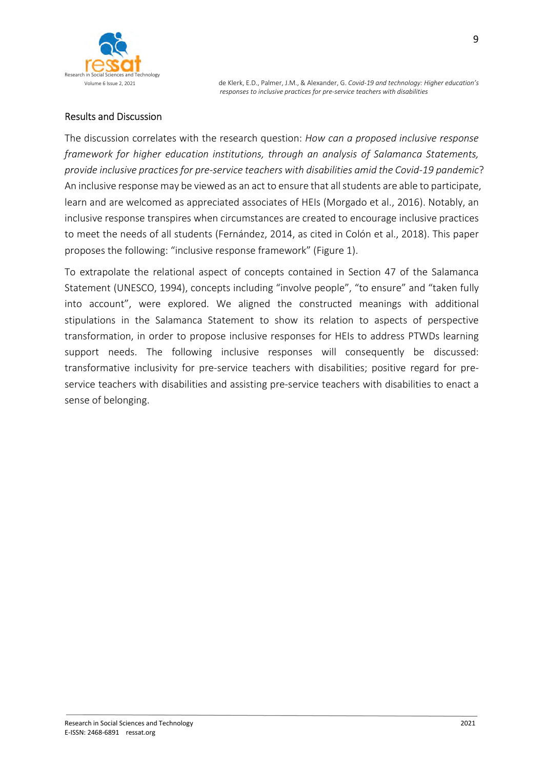

#### Results and Discussion

The discussion correlates with the research question: How can a proposed inclusive response framework for higher education institutions, through an analysis of Salamanca Statements, provide inclusive practices for pre-service teachers with disabilities amid the Covid-19 pandemic? An inclusive response may be viewed as an act to ensure that all students are able to participate, learn and are welcomed as appreciated associates of HEIs (Morgado et al., 2016). Notably, an inclusive response transpires when circumstances are created to encourage inclusive practices to meet the needs of all students (Fernández, 2014, as cited in Colón et al., 2018). This paper proposes the following: "inclusive response framework" (Figure 1).

To extrapolate the relational aspect of concepts contained in Section 47 of the Salamanca Statement (UNESCO, 1994), concepts including "involve people", "to ensure" and "taken fully into account", were explored. We aligned the constructed meanings with additional stipulations in the Salamanca Statement to show its relation to aspects of perspective transformation, in order to propose inclusive responses for HEIs to address PTWDs learning support needs. The following inclusive responses will consequently be discussed: transformative inclusivity for pre-service teachers with disabilities; positive regard for preservice teachers with disabilities and assisting pre-service teachers with disabilities to enact a sense of belonging.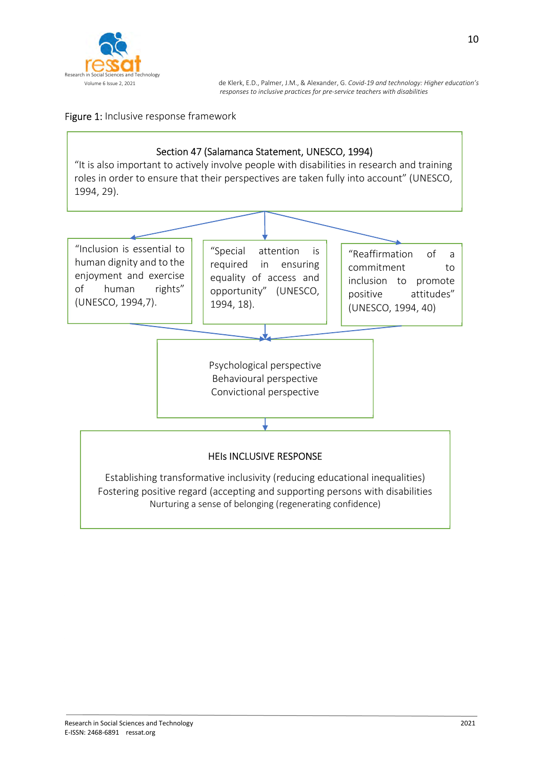

# Figure 1: Inclusive response framework

# Section 47 (Salamanca Statement, UNESCO, 1994)

"It is also important to actively involve people with disabilities in research and training roles in order to ensure that their perspectives are taken fully into account" (UNESCO, 1994, 29).

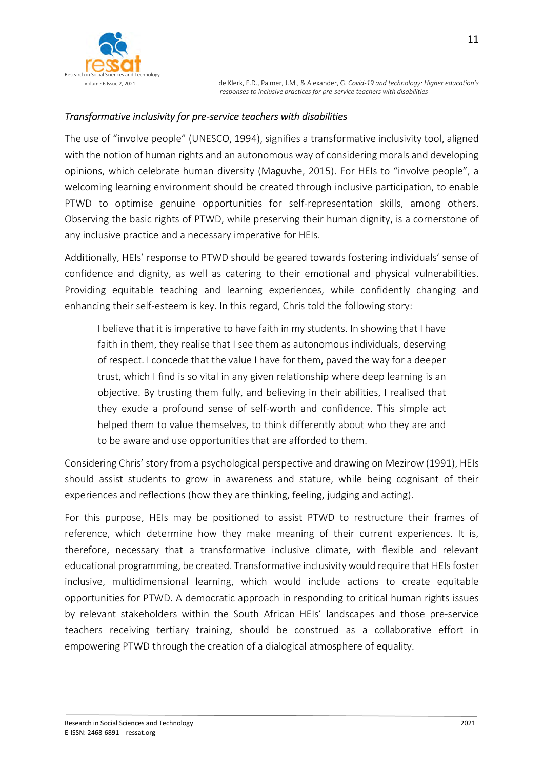

#### Transformative inclusivity for pre-service teachers with disabilities

The use of "involve people" (UNESCO, 1994), signifies a transformative inclusivity tool, aligned with the notion of human rights and an autonomous way of considering morals and developing opinions, which celebrate human diversity (Maguvhe, 2015). For HEIs to "involve people", a welcoming learning environment should be created through inclusive participation, to enable PTWD to optimise genuine opportunities for self-representation skills, among others. Observing the basic rights of PTWD, while preserving their human dignity, is a cornerstone of any inclusive practice and a necessary imperative for HEIs.

Additionally, HEIs' response to PTWD should be geared towards fostering individuals' sense of confidence and dignity, as well as catering to their emotional and physical vulnerabilities. Providing equitable teaching and learning experiences, while confidently changing and enhancing their self-esteem is key. In this regard, Chris told the following story:

I believe that it is imperative to have faith in my students. In showing that I have faith in them, they realise that I see them as autonomous individuals, deserving of respect. I concede that the value I have for them, paved the way for a deeper trust, which I find is so vital in any given relationship where deep learning is an objective. By trusting them fully, and believing in their abilities, I realised that they exude a profound sense of self-worth and confidence. This simple act helped them to value themselves, to think differently about who they are and to be aware and use opportunities that are afforded to them.

Considering Chris' story from a psychological perspective and drawing on Mezirow (1991), HEIs should assist students to grow in awareness and stature, while being cognisant of their experiences and reflections (how they are thinking, feeling, judging and acting).

For this purpose, HEIs may be positioned to assist PTWD to restructure their frames of reference, which determine how they make meaning of their current experiences. It is, therefore, necessary that a transformative inclusive climate, with flexible and relevant educational programming, be created. Transformative inclusivity would require that HEIs foster inclusive, multidimensional learning, which would include actions to create equitable opportunities for PTWD. A democratic approach in responding to critical human rights issues by relevant stakeholders within the South African HEIs' landscapes and those pre-service teachers receiving tertiary training, should be construed as a collaborative effort in empowering PTWD through the creation of a dialogical atmosphere of equality.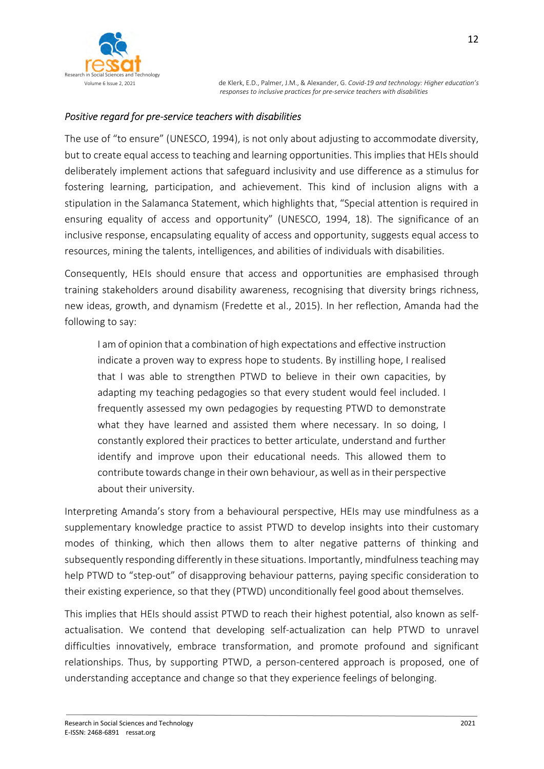

# Positive regard for pre-service teachers with disabilities

The use of "to ensure" (UNESCO, 1994), is not only about adjusting to accommodate diversity, but to create equal access to teaching and learning opportunities. This implies that HEIs should deliberately implement actions that safeguard inclusivity and use difference as a stimulus for fostering learning, participation, and achievement. This kind of inclusion aligns with a stipulation in the Salamanca Statement, which highlights that, "Special attention is required in ensuring equality of access and opportunity" (UNESCO, 1994, 18). The significance of an inclusive response, encapsulating equality of access and opportunity, suggests equal access to resources, mining the talents, intelligences, and abilities of individuals with disabilities.

Consequently, HEIs should ensure that access and opportunities are emphasised through training stakeholders around disability awareness, recognising that diversity brings richness, new ideas, growth, and dynamism (Fredette et al., 2015). In her reflection, Amanda had the following to say:

I am of opinion that a combination of high expectations and effective instruction indicate a proven way to express hope to students. By instilling hope, I realised that I was able to strengthen PTWD to believe in their own capacities, by adapting my teaching pedagogies so that every student would feel included. I frequently assessed my own pedagogies by requesting PTWD to demonstrate what they have learned and assisted them where necessary. In so doing, I constantly explored their practices to better articulate, understand and further identify and improve upon their educational needs. This allowed them to contribute towards change in their own behaviour, as well as in their perspective about their university.

Interpreting Amanda's story from a behavioural perspective, HEIs may use mindfulness as a supplementary knowledge practice to assist PTWD to develop insights into their customary modes of thinking, which then allows them to alter negative patterns of thinking and subsequently responding differently in these situations. Importantly, mindfulness teaching may help PTWD to "step-out" of disapproving behaviour patterns, paying specific consideration to their existing experience, so that they (PTWD) unconditionally feel good about themselves.

This implies that HEIs should assist PTWD to reach their highest potential, also known as selfactualisation. We contend that developing self-actualization can help PTWD to unravel difficulties innovatively, embrace transformation, and promote profound and significant relationships. Thus, by supporting PTWD, a person-centered approach is proposed, one of understanding acceptance and change so that they experience feelings of belonging.

12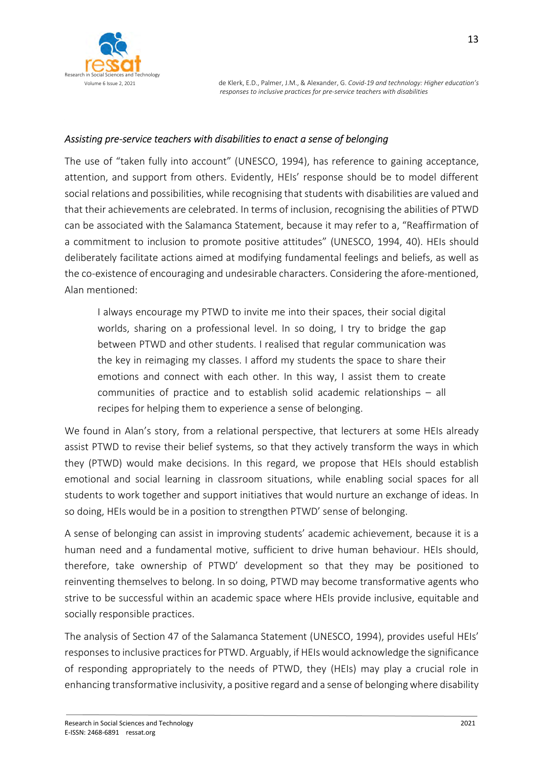

#### Assisting pre-service teachers with disabilities to enact a sense of belonging

The use of "taken fully into account" (UNESCO, 1994), has reference to gaining acceptance, attention, and support from others. Evidently, HEIs' response should be to model different social relations and possibilities, while recognising that students with disabilities are valued and that their achievements are celebrated. In terms of inclusion, recognising the abilities of PTWD can be associated with the Salamanca Statement, because it may refer to a, "Reaffirmation of a commitment to inclusion to promote positive attitudes" (UNESCO, 1994, 40). HEIs should deliberately facilitate actions aimed at modifying fundamental feelings and beliefs, as well as the co-existence of encouraging and undesirable characters. Considering the afore-mentioned, Alan mentioned:

I always encourage my PTWD to invite me into their spaces, their social digital worlds, sharing on a professional level. In so doing, I try to bridge the gap between PTWD and other students. I realised that regular communication was the key in reimaging my classes. I afford my students the space to share their emotions and connect with each other. In this way, I assist them to create communities of practice and to establish solid academic relationships – all recipes for helping them to experience a sense of belonging.

We found in Alan's story, from a relational perspective, that lecturers at some HEIs already assist PTWD to revise their belief systems, so that they actively transform the ways in which they (PTWD) would make decisions. In this regard, we propose that HEIs should establish emotional and social learning in classroom situations, while enabling social spaces for all students to work together and support initiatives that would nurture an exchange of ideas. In so doing, HEIs would be in a position to strengthen PTWD' sense of belonging.

A sense of belonging can assist in improving students' academic achievement, because it is a human need and a fundamental motive, sufficient to drive human behaviour. HEIs should, therefore, take ownership of PTWD' development so that they may be positioned to reinventing themselves to belong. In so doing, PTWD may become transformative agents who strive to be successful within an academic space where HEIs provide inclusive, equitable and socially responsible practices.

The analysis of Section 47 of the Salamanca Statement (UNESCO, 1994), provides useful HEIs' responses to inclusive practices for PTWD. Arguably, if HEIs would acknowledge the significance of responding appropriately to the needs of PTWD, they (HEIs) may play a crucial role in enhancing transformative inclusivity, a positive regard and a sense of belonging where disability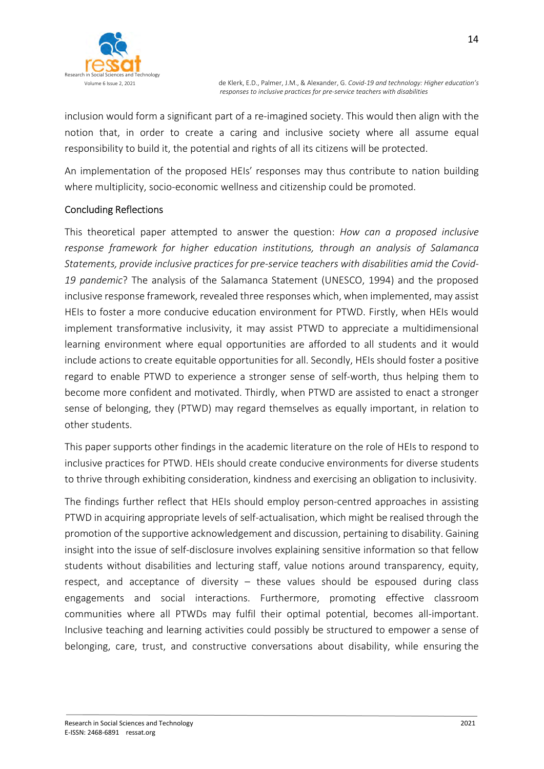

inclusion would form a significant part of a re-imagined society. This would then align with the notion that, in order to create a caring and inclusive society where all assume equal responsibility to build it, the potential and rights of all its citizens will be protected.

An implementation of the proposed HEIs' responses may thus contribute to nation building where multiplicity, socio-economic wellness and citizenship could be promoted.

# Concluding Reflections

This theoretical paper attempted to answer the question: How can a proposed inclusive response framework for higher education institutions, through an analysis of Salamanca Statements, provide inclusive practices for pre-service teachers with disabilities amid the Covid-19 pandemic? The analysis of the Salamanca Statement (UNESCO, 1994) and the proposed inclusive response framework, revealed three responses which, when implemented, may assist HEIs to foster a more conducive education environment for PTWD. Firstly, when HEIs would implement transformative inclusivity, it may assist PTWD to appreciate a multidimensional learning environment where equal opportunities are afforded to all students and it would include actions to create equitable opportunities for all. Secondly, HEIs should foster a positive regard to enable PTWD to experience a stronger sense of self-worth, thus helping them to become more confident and motivated. Thirdly, when PTWD are assisted to enact a stronger sense of belonging, they (PTWD) may regard themselves as equally important, in relation to other students.

This paper supports other findings in the academic literature on the role of HEIs to respond to inclusive practices for PTWD. HEIs should create conducive environments for diverse students to thrive through exhibiting consideration, kindness and exercising an obligation to inclusivity.

The findings further reflect that HEIs should employ person-centred approaches in assisting PTWD in acquiring appropriate levels of self-actualisation, which might be realised through the promotion of the supportive acknowledgement and discussion, pertaining to disability. Gaining insight into the issue of self-disclosure involves explaining sensitive information so that fellow students without disabilities and lecturing staff, value notions around transparency, equity, respect, and acceptance of diversity – these values should be espoused during class engagements and social interactions. Furthermore, promoting effective classroom communities where all PTWDs may fulfil their optimal potential, becomes all-important. Inclusive teaching and learning activities could possibly be structured to empower a sense of belonging, care, trust, and constructive conversations about disability, while ensuring the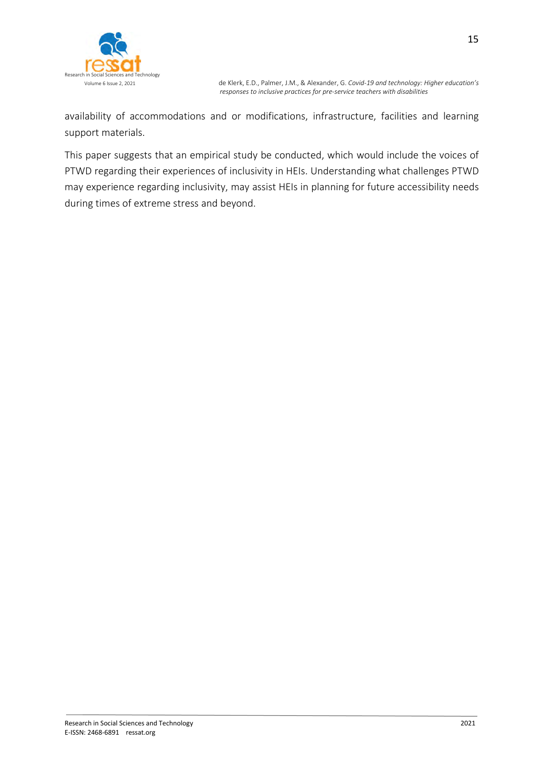

availability of accommodations and or modifications, infrastructure, facilities and learning support materials.

This paper suggests that an empirical study be conducted, which would include the voices of PTWD regarding their experiences of inclusivity in HEIs. Understanding what challenges PTWD may experience regarding inclusivity, may assist HEIs in planning for future accessibility needs during times of extreme stress and beyond.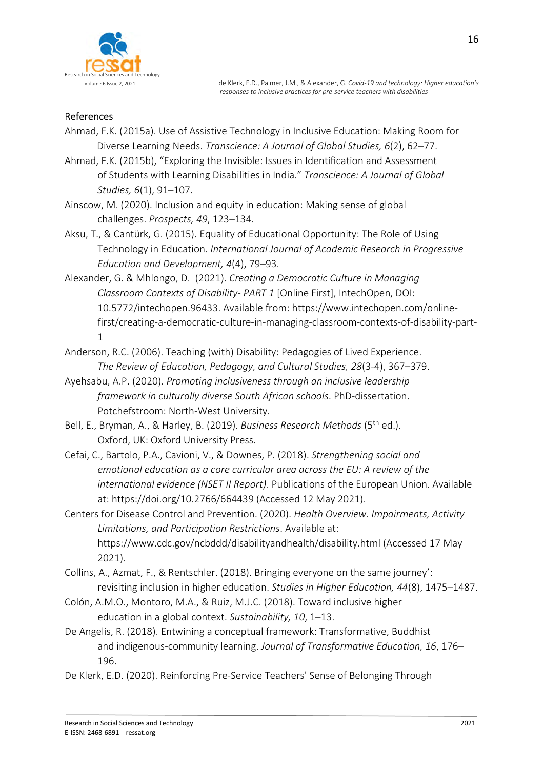

#### References

- Ahmad, F.K. (2015a). Use of Assistive Technology in Inclusive Education: Making Room for Diverse Learning Needs. Transcience: A Journal of Global Studies, 6(2), 62–77.
- Ahmad, F.K. (2015b), "Exploring the Invisible: Issues in Identification and Assessment of Students with Learning Disabilities in India." Transcience: A Journal of Global Studies, 6(1), 91–107.
- Ainscow, M. (2020). Inclusion and equity in education: Making sense of global challenges. Prospects, 49, 123–134.
- Aksu, T., & Cantürk, G. (2015). Equality of Educational Opportunity: The Role of Using Technology in Education. International Journal of Academic Research in Progressive Education and Development, 4(4), 79–93.
- Alexander, G. & Mhlongo, D. (2021). Creating a Democratic Culture in Managing Classroom Contexts of Disability- PART 1 [Online First], IntechOpen, DOI: 10.5772/intechopen.96433. Available from: https://www.intechopen.com/onlinefirst/creating-a-democratic-culture-in-managing-classroom-contexts-of-disability-part-1
- Anderson, R.C. (2006). Teaching (with) Disability: Pedagogies of Lived Experience. The Review of Education, Pedagogy, and Cultural Studies, 28(3-4), 367–379.
- Ayehsabu, A.P. (2020). Promoting inclusiveness through an inclusive leadership framework in culturally diverse South African schools. PhD-dissertation. Potchefstroom: North-West University.
- Bell, E., Bryman, A., & Harley, B. (2019). Business Research Methods (5<sup>th</sup> ed.). Oxford, UK: Oxford University Press.
- Cefai, C., Bartolo, P.A., Cavioni, V., & Downes, P. (2018). Strengthening social and emotional education as a core curricular area across the EU: A review of the international evidence (NSET II Report). Publications of the European Union. Available at: https://doi.org/10.2766/664439 (Accessed 12 May 2021).
- Centers for Disease Control and Prevention. (2020). Health Overview. Impairments, Activity Limitations, and Participation Restrictions. Available at: https://www.cdc.gov/ncbddd/disabilityandhealth/disability.html (Accessed 17 May 2021).
- Collins, A., Azmat, F., & Rentschler. (2018). Bringing everyone on the same journey': revisiting inclusion in higher education. Studies in Higher Education, 44(8), 1475–1487.
- Colón, A.M.O., Montoro, M.A., & Ruiz, M.J.C. (2018). Toward inclusive higher education in a global context. Sustainability, 10, 1–13.
- De Angelis, R. (2018). Entwining a conceptual framework: Transformative, Buddhist and indigenous-community learning. Journal of Transformative Education, 16, 176– 196.
- De Klerk, E.D. (2020). Reinforcing Pre-Service Teachers' Sense of Belonging Through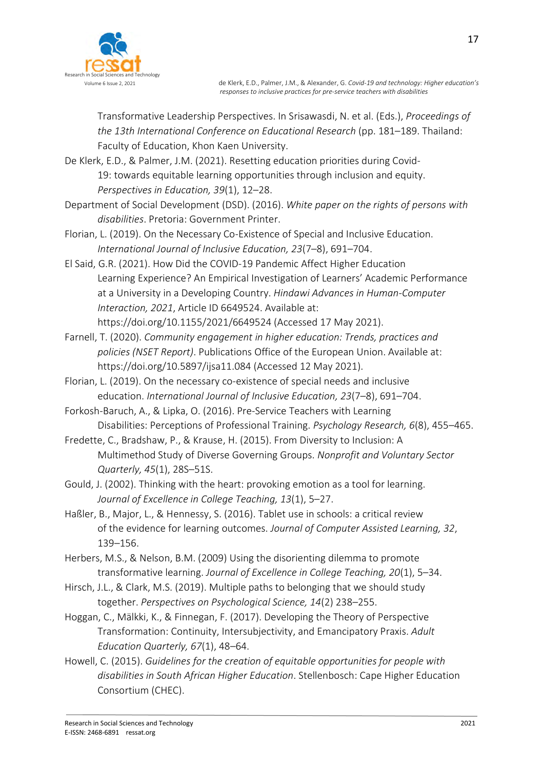

Transformative Leadership Perspectives. In Srisawasdi, N. et al. (Eds.), Proceedings of the 13th International Conference on Educational Research (pp. 181–189. Thailand: Faculty of Education, Khon Kaen University.

De Klerk, E.D., & Palmer, J.M. (2021). Resetting education priorities during Covid-19: towards equitable learning opportunities through inclusion and equity. Perspectives in Education, 39(1), 12–28.

Department of Social Development (DSD). (2016). White paper on the rights of persons with disabilities. Pretoria: Government Printer.

Florian, L. (2019). On the Necessary Co-Existence of Special and Inclusive Education. International Journal of Inclusive Education, 23(7–8), 691–704.

El Said, G.R. (2021). How Did the COVID-19 Pandemic Affect Higher Education Learning Experience? An Empirical Investigation of Learners' Academic Performance at a University in a Developing Country. Hindawi Advances in Human-Computer Interaction, 2021, Article ID 6649524. Available at: https://doi.org/10.1155/2021/6649524 (Accessed 17 May 2021).

Farnell, T. (2020). Community engagement in higher education: Trends, practices and policies (NSET Report). Publications Office of the European Union. Available at: https://doi.org/10.5897/ijsa11.084 (Accessed 12 May 2021).

Florian, L. (2019). On the necessary co-existence of special needs and inclusive education. International Journal of Inclusive Education, 23(7–8), 691–704.

Forkosh-Baruch, A., & Lipka, O. (2016). Pre-Service Teachers with Learning Disabilities: Perceptions of Professional Training. Psychology Research, 6(8), 455–465.

Fredette, C., Bradshaw, P., & Krause, H. (2015). From Diversity to Inclusion: A Multimethod Study of Diverse Governing Groups. Nonprofit and Voluntary Sector Quarterly, 45(1), 28S–51S.

Gould, J. (2002). Thinking with the heart: provoking emotion as a tool for learning. Journal of Excellence in College Teaching, 13(1), 5–27.

Haßler, B., Major, L., & Hennessy, S. (2016). Tablet use in schools: a critical review of the evidence for learning outcomes. Journal of Computer Assisted Learning, 32, 139–156.

Herbers, M.S., & Nelson, B.M. (2009) Using the disorienting dilemma to promote transformative learning. Journal of Excellence in College Teaching, 20(1), 5–34.

- Hirsch, J.L., & Clark, M.S. (2019). Multiple paths to belonging that we should study together. Perspectives on Psychological Science, 14(2) 238–255.
- Hoggan, C., Mälkki, K., & Finnegan, F. (2017). Developing the Theory of Perspective Transformation: Continuity, Intersubjectivity, and Emancipatory Praxis. Adult Education Quarterly, 67(1), 48–64.
- Howell, C. (2015). Guidelines for the creation of equitable opportunities for people with disabilities in South African Higher Education. Stellenbosch: Cape Higher Education Consortium (CHEC).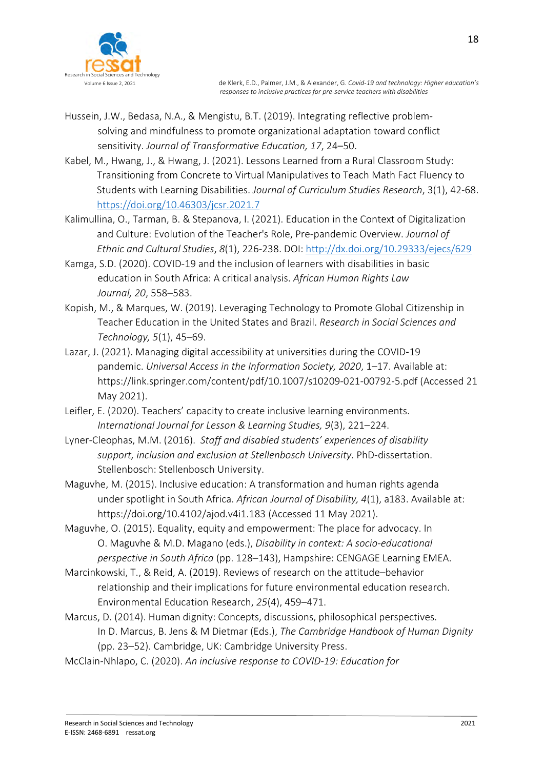

- Hussein, J.W., Bedasa, N.A., & Mengistu, B.T. (2019). Integrating reflective problemsolving and mindfulness to promote organizational adaptation toward conflict sensitivity. Journal of Transformative Education, 17, 24–50.
- Kabel, M., Hwang, J., & Hwang, J. (2021). Lessons Learned from a Rural Classroom Study: Transitioning from Concrete to Virtual Manipulatives to Teach Math Fact Fluency to Students with Learning Disabilities. Journal of Curriculum Studies Research, 3(1), 42-68. https://doi.org/10.46303/jcsr.2021.7
- Kalimullina, O., Tarman, B. & Stepanova, I. (2021). Education in the Context of Digitalization and Culture: Evolution of the Teacher's Role, Pre-pandemic Overview. Journal of Ethnic and Cultural Studies, 8(1), 226-238. DOI: http://dx.doi.org/10.29333/ejecs/629
- Kamga, S.D. (2020). COVID-19 and the inclusion of learners with disabilities in basic education in South Africa: A critical analysis. African Human Rights Law Journal, 20, 558–583.
- Kopish, M., & Marques, W. (2019). Leveraging Technology to Promote Global Citizenship in Teacher Education in the United States and Brazil. Research in Social Sciences and Technology, 5(1), 45–69.
- Lazar, J. (2021). Managing digital accessibility at universities during the COVID-19 pandemic. Universal Access in the Information Society, 2020, 1–17. Available at: https://link.springer.com/content/pdf/10.1007/s10209-021-00792-5.pdf (Accessed 21 May 2021).
- Leifler, E. (2020). Teachers' capacity to create inclusive learning environments. International Journal for Lesson & Learning Studies, 9(3), 221–224.
- Lyner-Cleophas, M.M. (2016). Staff and disabled students' experiences of disability support, inclusion and exclusion at Stellenbosch University. PhD-dissertation. Stellenbosch: Stellenbosch University.
- Maguvhe, M. (2015). Inclusive education: A transformation and human rights agenda under spotlight in South Africa. African Journal of Disability, 4(1), a183. Available at: https://doi.org/10.4102/ajod.v4i1.183 (Accessed 11 May 2021).
- Maguvhe, O. (2015). Equality, equity and empowerment: The place for advocacy. In O. Maguvhe & M.D. Magano (eds.), Disability in context: A socio-educational perspective in South Africa (pp. 128–143), Hampshire: CENGAGE Learning EMEA.
- Marcinkowski, T., & Reid, A. (2019). Reviews of research on the attitude–behavior relationship and their implications for future environmental education research. Environmental Education Research, 25(4), 459–471.
- Marcus, D. (2014). Human dignity: Concepts, discussions, philosophical perspectives. In D. Marcus, B. Jens & M Dietmar (Eds.), The Cambridge Handbook of Human Dignity (pp. 23–52). Cambridge, UK: Cambridge University Press.
- McClain-Nhlapo, C. (2020). An inclusive response to COVID-19: Education for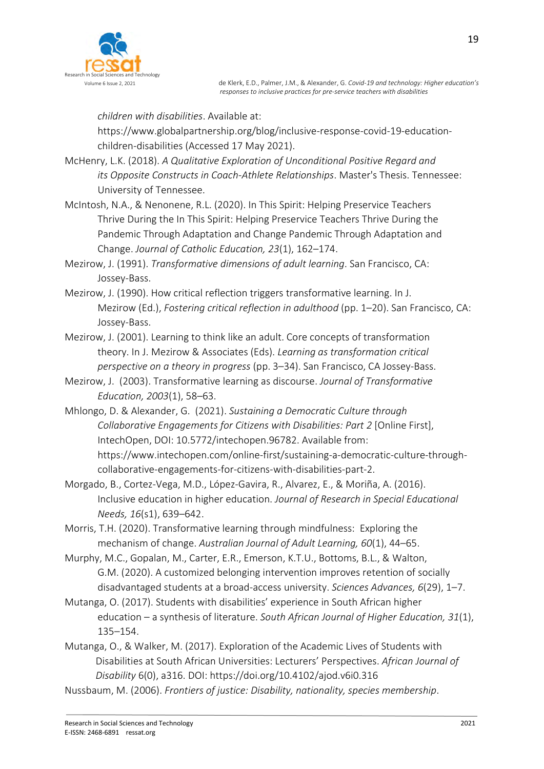

children with disabilities. Available at:

https://www.globalpartnership.org/blog/inclusive-response-covid-19-educationchildren-disabilities (Accessed 17 May 2021).

McHenry, L.K. (2018). A Qualitative Exploration of Unconditional Positive Regard and its Opposite Constructs in Coach-Athlete Relationships. Master's Thesis. Tennessee: University of Tennessee.

McIntosh, N.A., & Nenonene, R.L. (2020). In This Spirit: Helping Preservice Teachers Thrive During the In This Spirit: Helping Preservice Teachers Thrive During the Pandemic Through Adaptation and Change Pandemic Through Adaptation and Change. Journal of Catholic Education, 23(1), 162–174.

Mezirow, J. (1991). Transformative dimensions of adult learning. San Francisco, CA: Jossey-Bass.

- Mezirow, J. (1990). How critical reflection triggers transformative learning. In J. Mezirow (Ed.), Fostering critical reflection in adulthood (pp. 1–20). San Francisco, CA: Jossey-Bass.
- Mezirow, J. (2001). Learning to think like an adult. Core concepts of transformation theory. In J. Mezirow & Associates (Eds). Learning as transformation critical perspective on a theory in progress (pp. 3–34). San Francisco, CA Jossey-Bass.
- Mezirow, J. (2003). Transformative learning as discourse. Journal of Transformative Education, 2003(1), 58–63.
- Mhlongo, D. & Alexander, G. (2021). Sustaining a Democratic Culture through Collaborative Engagements for Citizens with Disabilities: Part 2 [Online First], IntechOpen, DOI: 10.5772/intechopen.96782. Available from: https://www.intechopen.com/online-first/sustaining-a-democratic-culture-throughcollaborative-engagements-for-citizens-with-disabilities-part-2.
- Morgado, B., Cortez-Vega, M.D., López-Gavira, R., Alvarez, E., & Moriña, A. (2016). Inclusive education in higher education. Journal of Research in Special Educational Needs, 16(s1), 639–642.
- Morris, T.H. (2020). Transformative learning through mindfulness: Exploring the mechanism of change. Australian Journal of Adult Learning, 60(1), 44–65.
- Murphy, M.C., Gopalan, M., Carter, E.R., Emerson, K.T.U., Bottoms, B.L., & Walton, G.M. (2020). A customized belonging intervention improves retention of socially disadvantaged students at a broad-access university. Sciences Advances, 6(29), 1–7.
- Mutanga, O. (2017). Students with disabilities' experience in South African higher education – a synthesis of literature. South African Journal of Higher Education, 31(1), 135–154.
- Mutanga, O., & Walker, M. (2017). Exploration of the Academic Lives of Students with Disabilities at South African Universities: Lecturers' Perspectives. African Journal of Disability 6(0), a316. DOI: https://doi.org/10.4102/ajod.v6i0.316
- Nussbaum, M. (2006). Frontiers of justice: Disability, nationality, species membership.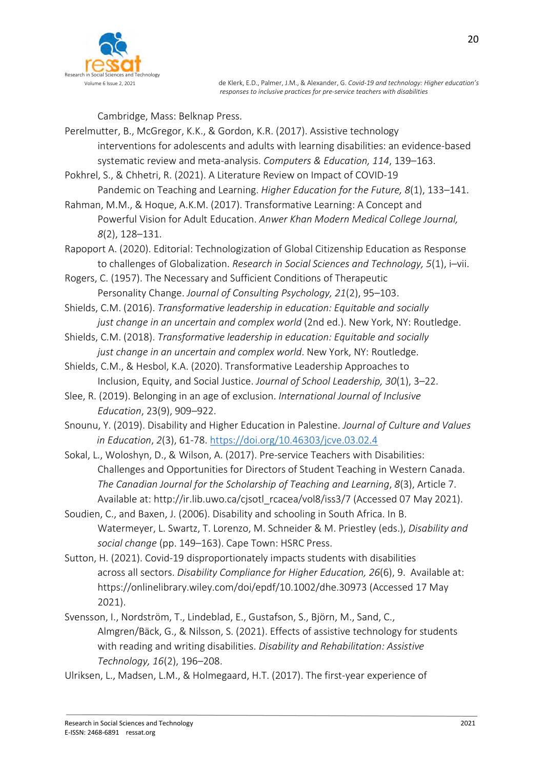

Cambridge, Mass: Belknap Press.

- Perelmutter, B., McGregor, K.K., & Gordon, K.R. (2017). Assistive technology interventions for adolescents and adults with learning disabilities: an evidence-based systematic review and meta-analysis. Computers & Education, 114, 139–163.
- Pokhrel, S., & Chhetri, R. (2021). A Literature Review on Impact of COVID-19
	- Pandemic on Teaching and Learning. Higher Education for the Future, 8(1), 133-141.
- Rahman, M.M., & Hoque, A.K.M. (2017). Transformative Learning: A Concept and Powerful Vision for Adult Education. Anwer Khan Modern Medical College Journal, 8(2), 128–131.
- Rapoport A. (2020). Editorial: Technologization of Global Citizenship Education as Response to challenges of Globalization. Research in Social Sciences and Technology, 5(1), i–vii.
- Rogers, C. (1957). The Necessary and Sufficient Conditions of Therapeutic Personality Change. Journal of Consulting Psychology, 21(2), 95–103.
- Shields, C.M. (2016). Transformative leadership in education: Equitable and socially just change in an uncertain and complex world (2nd ed.). New York, NY: Routledge.
- Shields, C.M. (2018). Transformative leadership in education: Equitable and socially just change in an uncertain and complex world. New York, NY: Routledge.
- Shields, C.M., & Hesbol, K.A. (2020). Transformative Leadership Approaches to Inclusion, Equity, and Social Justice. Journal of School Leadership, 30(1), 3–22.
- Slee, R. (2019). Belonging in an age of exclusion. International Journal of Inclusive Education, 23(9), 909–922.
- Snounu, Y. (2019). Disability and Higher Education in Palestine. Journal of Culture and Values in Education, 2(3), 61-78. https://doi.org/10.46303/jcve.03.02.4
- Sokal, L., Woloshyn, D., & Wilson, A. (2017). Pre-service Teachers with Disabilities: Challenges and Opportunities for Directors of Student Teaching in Western Canada. The Canadian Journal for the Scholarship of Teaching and Learning, 8(3), Article 7. Available at: http://ir.lib.uwo.ca/cjsotl\_rcacea/vol8/iss3/7 (Accessed 07 May 2021).
- Soudien, C., and Baxen, J. (2006). Disability and schooling in South Africa. In B. Watermeyer, L. Swartz, T. Lorenzo, M. Schneider & M. Priestley (eds.), Disability and social change (pp. 149–163). Cape Town: HSRC Press.
- Sutton, H. (2021). Covid-19 disproportionately impacts students with disabilities across all sectors. Disability Compliance for Higher Education, 26(6), 9. Available at: https://onlinelibrary.wiley.com/doi/epdf/10.1002/dhe.30973 (Accessed 17 May 2021).
- Svensson, I., Nordström, T., Lindeblad, E., Gustafson, S., Björn, M., Sand, C., Almgren/Bäck, G., & Nilsson, S. (2021). Effects of assistive technology for students with reading and writing disabilities. Disability and Rehabilitation: Assistive Technology, 16(2), 196–208.
- Ulriksen, L., Madsen, L.M., & Holmegaard, H.T. (2017). The first-year experience of